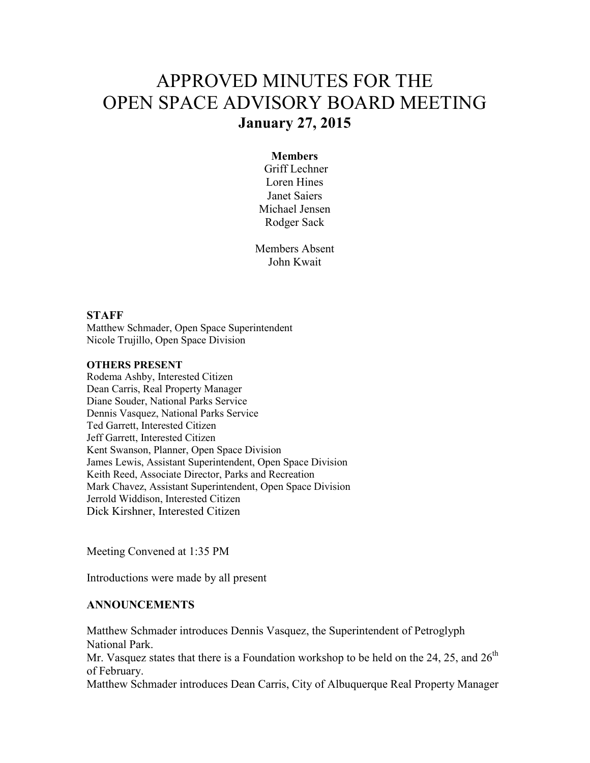# APPROVED MINUTES FOR THE OPEN SPACE ADVISORY BOARD MEETING **January 27, 2015**

#### **Members**

 Griff Lechner Loren Hines Janet Saiers Michael Jensen Rodger Sack

Members Absent John Kwait

### **STAFF**

Matthew Schmader, Open Space Superintendent Nicole Trujillo, Open Space Division

#### **OTHERS PRESENT**

Rodema Ashby, Interested Citizen Dean Carris, Real Property Manager Diane Souder, National Parks Service Dennis Vasquez, National Parks Service Ted Garrett, Interested Citizen Jeff Garrett, Interested Citizen Kent Swanson, Planner, Open Space Division James Lewis, Assistant Superintendent, Open Space Division Keith Reed, Associate Director, Parks and Recreation Mark Chavez, Assistant Superintendent, Open Space Division Jerrold Widdison, Interested Citizen Dick Kirshner, Interested Citizen

Meeting Convened at 1:35 PM

Introductions were made by all present

## **ANNOUNCEMENTS**

Matthew Schmader introduces Dennis Vasquez, the Superintendent of Petroglyph National Park. Mr. Vasquez states that there is a Foundation workshop to be held on the 24, 25, and  $26<sup>th</sup>$ of February. Matthew Schmader introduces Dean Carris, City of Albuquerque Real Property Manager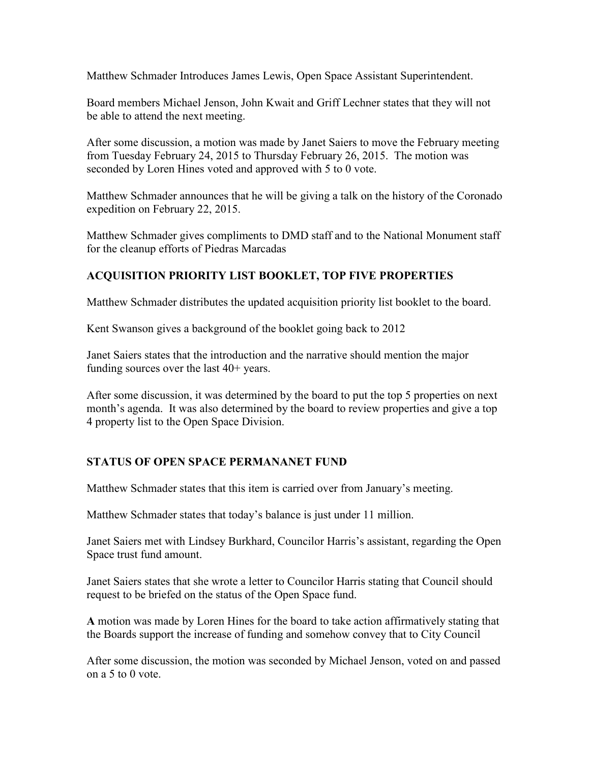Matthew Schmader Introduces James Lewis, Open Space Assistant Superintendent.

Board members Michael Jenson, John Kwait and Griff Lechner states that they will not be able to attend the next meeting.

After some discussion, a motion was made by Janet Saiers to move the February meeting from Tuesday February 24, 2015 to Thursday February 26, 2015. The motion was seconded by Loren Hines voted and approved with 5 to 0 vote.

Matthew Schmader announces that he will be giving a talk on the history of the Coronado expedition on February 22, 2015.

Matthew Schmader gives compliments to DMD staff and to the National Monument staff for the cleanup efforts of Piedras Marcadas

# **ACQUISITION PRIORITY LIST BOOKLET, TOP FIVE PROPERTIES**

Matthew Schmader distributes the updated acquisition priority list booklet to the board.

Kent Swanson gives a background of the booklet going back to 2012

Janet Saiers states that the introduction and the narrative should mention the major funding sources over the last 40+ years.

After some discussion, it was determined by the board to put the top 5 properties on next month's agenda. It was also determined by the board to review properties and give a top 4 property list to the Open Space Division.

## **STATUS OF OPEN SPACE PERMANANET FUND**

Matthew Schmader states that this item is carried over from January's meeting.

Matthew Schmader states that today's balance is just under 11 million.

Janet Saiers met with Lindsey Burkhard, Councilor Harris's assistant, regarding the Open Space trust fund amount.

Janet Saiers states that she wrote a letter to Councilor Harris stating that Council should request to be briefed on the status of the Open Space fund.

**A** motion was made by Loren Hines for the board to take action affirmatively stating that the Boards support the increase of funding and somehow convey that to City Council

After some discussion, the motion was seconded by Michael Jenson, voted on and passed on a 5 to 0 vote.